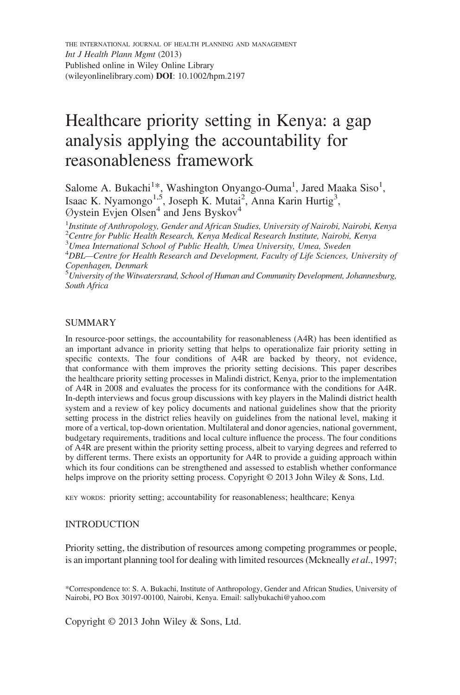# Healthcare priority setting in Kenya: a gap analysis applying the accountability for reasonableness framework

Salome A. Bukachi<sup>1</sup>\*, Washington Onyango-Ouma<sup>1</sup>, Jared Maaka Siso<sup>1</sup>, Isaac K. Nyamongo<sup>1,5</sup>, Joseph K. Mutai<sup>2</sup>, Anna Karin Hurtig<sup>3</sup>, Øystein Evjen Olsen<sup>4</sup> and Jens Byskov<sup>4</sup>

<sup>1</sup> Institute of Anthropology, Gender and African Studies, University of Nairobi, Nairobi, Kenya <sup>2</sup> Centre for Public Health Research, Kenya Medical Research Institute, Nairobi, Kenya  $3$ Umea International School of Public Health, Umea University, Umea, Sweden

<sup>4</sup>DBL—Centre for Health Research and Development, Faculty of Life Sciences, University of Copenhagen, Denmark

 $^5$ University of the Witwatersrand, School of Human and Community Development, Johannesburg, South Africa

## **SUMMARY**

In resource-poor settings, the accountability for reasonableness (A4R) has been identified as an important advance in priority setting that helps to operationalize fair priority setting in specific contexts. The four conditions of A4R are backed by theory, not evidence, that conformance with them improves the priority setting decisions. This paper describes the healthcare priority setting processes in Malindi district, Kenya, prior to the implementation of A4R in 2008 and evaluates the process for its conformance with the conditions for A4R. In-depth interviews and focus group discussions with key players in the Malindi district health system and a review of key policy documents and national guidelines show that the priority setting process in the district relies heavily on guidelines from the national level, making it more of a vertical, top-down orientation. Multilateral and donor agencies, national government, budgetary requirements, traditions and local culture influence the process. The four conditions of A4R are present within the priority setting process, albeit to varying degrees and referred to by different terms. There exists an opportunity for A4R to provide a guiding approach within which its four conditions can be strengthened and assessed to establish whether conformance helps improve on the priority setting process. Copyright © 2013 John Wiley & Sons, Ltd.

KEY WORDS: priority setting; accountability for reasonableness; healthcare; Kenya

## INTRODUCTION

Priority setting, the distribution of resources among competing programmes or people, is an important planning tool for dealing with limited resources (Mckneally *et al.*, 1997;

\*Correspondence to: S. A. Bukachi, Institute of Anthropology, Gender and African Studies, University of Nairobi, PO Box 30197-00100, Nairobi, Kenya. Email: sallybukachi@yahoo.com

Copyright © 2013 John Wiley & Sons, Ltd.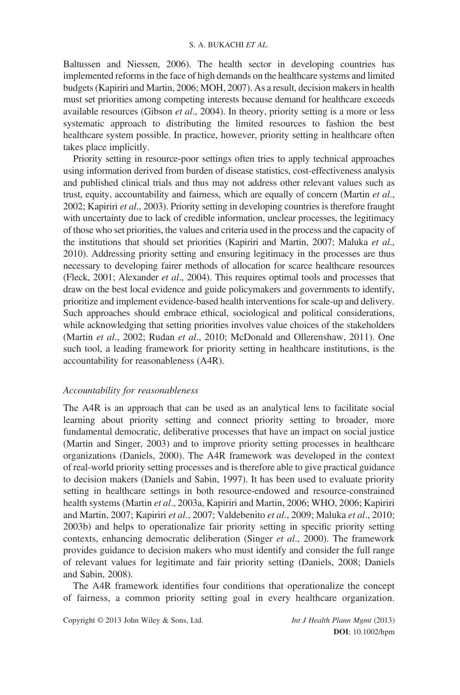Baltussen and Niessen, 2006). The health sector in developing countries has implemented reforms in the face of high demands on the healthcare systems and limited budgets (Kapiriri and Martin, 2006; MOH, 2007). As a result, decision makers in health must set priorities among competing interests because demand for healthcare exceeds available resources (Gibson et al., 2004). In theory, priority setting is a more or less systematic approach to distributing the limited resources to fashion the best healthcare system possible. In practice, however, priority setting in healthcare often takes place implicitly.

Priority setting in resource-poor settings often tries to apply technical approaches using information derived from burden of disease statistics, cost-effectiveness analysis and published clinical trials and thus may not address other relevant values such as trust, equity, accountability and fairness, which are equally of concern (Martin et al., 2002; Kapiriri et al., 2003). Priority setting in developing countries is therefore fraught with uncertainty due to lack of credible information, unclear processes, the legitimacy of those who set priorities, the values and criteria used in the process and the capacity of the institutions that should set priorities (Kapiriri and Martin, 2007; Maluka et al., 2010). Addressing priority setting and ensuring legitimacy in the processes are thus necessary to developing fairer methods of allocation for scarce healthcare resources (Fleck, 2001; Alexander et al., 2004). This requires optimal tools and processes that draw on the best local evidence and guide policymakers and governments to identify, prioritize and implement evidence-based health interventions for scale-up and delivery. Such approaches should embrace ethical, sociological and political considerations, while acknowledging that setting priorities involves value choices of the stakeholders (Martin et al., 2002; Rudan et al., 2010; McDonald and Ollerenshaw, 2011). One such tool, a leading framework for priority setting in healthcare institutions, is the accountability for reasonableness (A4R).

# Accountability for reasonableness

The A4R is an approach that can be used as an analytical lens to facilitate social learning about priority setting and connect priority setting to broader, more fundamental democratic, deliberative processes that have an impact on social justice (Martin and Singer, 2003) and to improve priority setting processes in healthcare organizations (Daniels, 2000). The A4R framework was developed in the context of real-world priority setting processes and is therefore able to give practical guidance to decision makers (Daniels and Sabin, 1997). It has been used to evaluate priority setting in healthcare settings in both resource-endowed and resource-constrained health systems (Martin et al., 2003a, Kapiriri and Martin, 2006; WHO, 2006; Kapiriri and Martin, 2007; Kapiriri et al., 2007; Valdebenito et al., 2009; Maluka et al., 2010; 2003b) and helps to operationalize fair priority setting in specific priority setting contexts, enhancing democratic deliberation (Singer et al., 2000). The framework provides guidance to decision makers who must identify and consider the full range of relevant values for legitimate and fair priority setting (Daniels, 2008; Daniels and Sabin, 2008).

The A4R framework identifies four conditions that operationalize the concept of fairness, a common priority setting goal in every healthcare organization.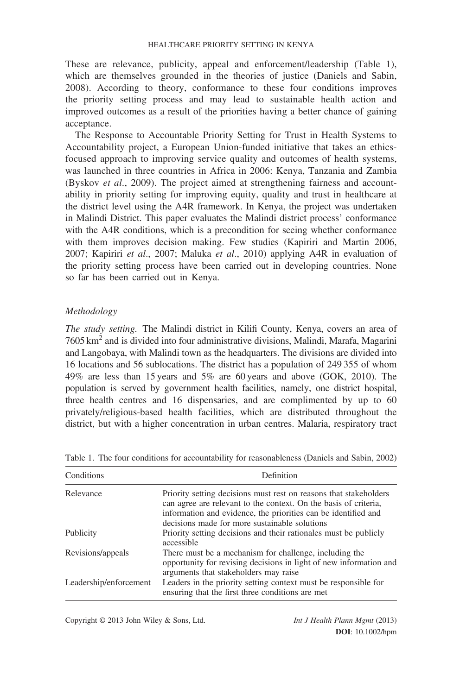These are relevance, publicity, appeal and enforcement/leadership (Table 1), which are themselves grounded in the theories of justice (Daniels and Sabin, 2008). According to theory, conformance to these four conditions improves the priority setting process and may lead to sustainable health action and improved outcomes as a result of the priorities having a better chance of gaining acceptance.

The Response to Accountable Priority Setting for Trust in Health Systems to Accountability project, a European Union-funded initiative that takes an ethicsfocused approach to improving service quality and outcomes of health systems, was launched in three countries in Africa in 2006: Kenya, Tanzania and Zambia (Byskov et al., 2009). The project aimed at strengthening fairness and accountability in priority setting for improving equity, quality and trust in healthcare at the district level using the A4R framework. In Kenya, the project was undertaken in Malindi District. This paper evaluates the Malindi district process' conformance with the A4R conditions, which is a precondition for seeing whether conformance with them improves decision making. Few studies (Kapiriri and Martin 2006, 2007; Kapiriri et al., 2007; Maluka et al., 2010) applying A4R in evaluation of the priority setting process have been carried out in developing countries. None so far has been carried out in Kenya.

## Methodology

The study setting. The Malindi district in Kilifi County, Kenya, covers an area of  $7605 \text{ km}^2$  and is divided into four administrative divisions, Malindi, Marafa, Magarini and Langobaya, with Malindi town as the headquarters. The divisions are divided into 16 locations and 56 sublocations. The district has a population of 249 355 of whom 49% are less than 15 years and 5% are 60 years and above (GOK, 2010). The population is served by government health facilities, namely, one district hospital, three health centres and 16 dispensaries, and are complimented by up to 60 privately/religious-based health facilities, which are distributed throughout the district, but with a higher concentration in urban centres. Malaria, respiratory tract

| Conditions             | Definition                                                                                                                                                                                                                                               |  |
|------------------------|----------------------------------------------------------------------------------------------------------------------------------------------------------------------------------------------------------------------------------------------------------|--|
| Relevance              | Priority setting decisions must rest on reasons that stakeholders<br>can agree are relevant to the context. On the basis of criteria,<br>information and evidence, the priorities can be identified and<br>decisions made for more sustainable solutions |  |
| Publicity              | Priority setting decisions and their rationales must be publicly<br>accessible                                                                                                                                                                           |  |
| Revisions/appeals      | There must be a mechanism for challenge, including the<br>opportunity for revising decisions in light of new information and<br>arguments that stakeholders may raise                                                                                    |  |
| Leadership/enforcement | Leaders in the priority setting context must be responsible for<br>ensuring that the first three conditions are met                                                                                                                                      |  |

Table 1. The four conditions for accountability for reasonableness (Daniels and Sabin, 2002)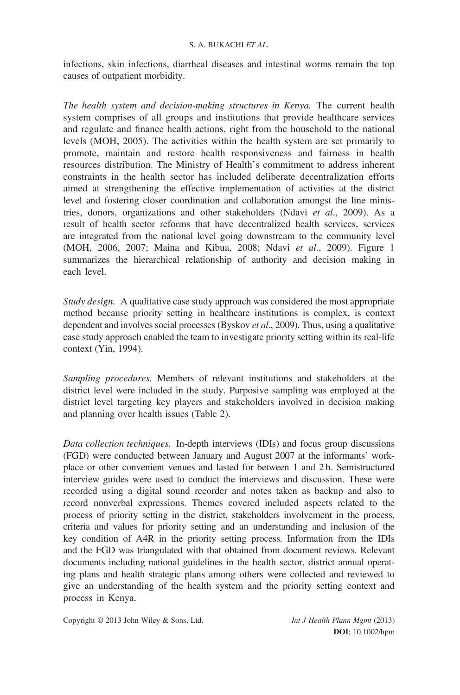infections, skin infections, diarrheal diseases and intestinal worms remain the top causes of outpatient morbidity.

The health system and decision-making structures in Kenya. The current health system comprises of all groups and institutions that provide healthcare services and regulate and finance health actions, right from the household to the national levels (MOH, 2005). The activities within the health system are set primarily to promote, maintain and restore health responsiveness and fairness in health resources distribution. The Ministry of Health's commitment to address inherent constraints in the health sector has included deliberate decentralization efforts aimed at strengthening the effective implementation of activities at the district level and fostering closer coordination and collaboration amongst the line ministries, donors, organizations and other stakeholders (Ndavi et al., 2009). As a result of health sector reforms that have decentralized health services, services are integrated from the national level going downstream to the community level (MOH, 2006, 2007; Maina and Kibua, 2008; Ndavi et al., 2009). Figure 1 summarizes the hierarchical relationship of authority and decision making in each level.

Study design. A qualitative case study approach was considered the most appropriate method because priority setting in healthcare institutions is complex, is context dependent and involves social processes (Byskov et al., 2009). Thus, using a qualitative case study approach enabled the team to investigate priority setting within its real-life context (Yin, 1994).

Sampling procedures. Members of relevant institutions and stakeholders at the district level were included in the study. Purposive sampling was employed at the district level targeting key players and stakeholders involved in decision making and planning over health issues (Table 2).

Data collection techniques. In-depth interviews (IDIs) and focus group discussions (FGD) were conducted between January and August 2007 at the informants' workplace or other convenient venues and lasted for between 1 and 2 h. Semistructured interview guides were used to conduct the interviews and discussion. These were recorded using a digital sound recorder and notes taken as backup and also to record nonverbal expressions. Themes covered included aspects related to the process of priority setting in the district, stakeholders involvement in the process, criteria and values for priority setting and an understanding and inclusion of the key condition of A4R in the priority setting process. Information from the IDIs and the FGD was triangulated with that obtained from document reviews. Relevant documents including national guidelines in the health sector, district annual operating plans and health strategic plans among others were collected and reviewed to give an understanding of the health system and the priority setting context and process in Kenya.

Copyright © 2013 John Wiley & Sons, Ltd. Int J Health Plann Mgmt (2013)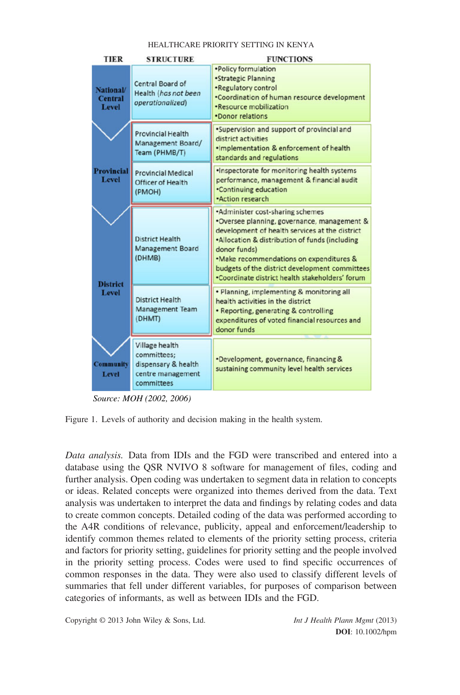#### HEALTHCARE PRIORITY SETTING IN KENYA

| <b>TIER</b>                                 | <b>STRUCTURE</b>                                                                        | <b>FUNCTIONS</b>                                                                                                                                                                                                                                                                                                                                    |
|---------------------------------------------|-----------------------------------------------------------------------------------------|-----------------------------------------------------------------------------------------------------------------------------------------------------------------------------------------------------------------------------------------------------------------------------------------------------------------------------------------------------|
| <b>National/</b><br><b>Central</b><br>Level | Central Board of<br>Health (has not been<br>operationalized)                            | ·Policy formulation<br><b>•Strategic Planning</b><br>•Regulatory control<br>•Coordination of human resource development<br>•Resource mobilization<br>.Donor relations                                                                                                                                                                               |
|                                             | Provincial Health<br>Management Board/<br>Team (PHMB/T)                                 | *Supervision and support of provincial and<br>district activities<br>. Implementation & enforcement of health<br>standards and regulations                                                                                                                                                                                                          |
| <b>Provincial</b><br>Level                  | <b>Provincial Medical</b><br>Officer of Health<br>(PMOH)                                | .Inspectorate for monitoring health systems<br>performance, management & financial audit<br>•Continuing education<br>*Action research                                                                                                                                                                                                               |
| <b>District</b>                             | <b>District Health</b><br>Management Board<br>(DHMB)                                    | •Administer cost-sharing schemes<br>.Oversee planning, governance, management &<br>development of health services at the district<br>•Allocation & distribution of funds (including<br>donor funds)<br>*Make recommendations on expenditures &<br>budgets of the district development committees<br>.Coordinate district health stakeholders' forum |
| Level                                       | <b>District Health</b><br>Management Team<br>(DHMT)                                     | . Planning, implementing & monitoring all<br>health activities in the district<br>• Reporting, generating & controlling<br>expenditures of voted financial resources and<br>donor funds                                                                                                                                                             |
| <b>Community</b><br>Level                   | Village health<br>committees;<br>dispensary & health<br>centre management<br>committees | •Development, governance, financing &<br>sustaining community level health services                                                                                                                                                                                                                                                                 |

*Source: MOH (2002, 2006)*

Figure 1. Levels of authority and decision making in the health system.

Data analysis. Data from IDIs and the FGD were transcribed and entered into a database using the QSR NVIVO 8 software for management of files, coding and further analysis. Open coding was undertaken to segment data in relation to concepts or ideas. Related concepts were organized into themes derived from the data. Text analysis was undertaken to interpret the data and findings by relating codes and data to create common concepts. Detailed coding of the data was performed according to the A4R conditions of relevance, publicity, appeal and enforcement/leadership to identify common themes related to elements of the priority setting process, criteria and factors for priority setting, guidelines for priority setting and the people involved in the priority setting process. Codes were used to find specific occurrences of common responses in the data. They were also used to classify different levels of summaries that fell under different variables, for purposes of comparison between categories of informants, as well as between IDIs and the FGD.

Copyright © 2013 John Wiley & Sons, Ltd. Int J Health Plann Mgmt (2013)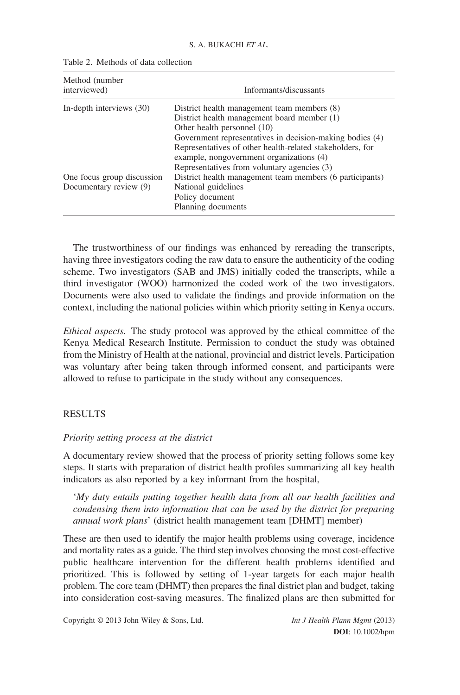| Method (number)<br>interviewed)                      | Informants/discussants                                                                                                                                                                                                                                                                         |
|------------------------------------------------------|------------------------------------------------------------------------------------------------------------------------------------------------------------------------------------------------------------------------------------------------------------------------------------------------|
| In-depth interviews (30)                             | District health management team members (8)<br>District health management board member (1)<br>Other health personnel (10)<br>Government representatives in decision-making bodies (4)<br>Representatives of other health-related stakeholders, for<br>example, nongovernment organizations (4) |
| One focus group discussion<br>Documentary review (9) | Representatives from voluntary agencies (3)<br>District health management team members (6 participants)<br>National guidelines<br>Policy document<br>Planning documents                                                                                                                        |

Table 2. Methods of data collection

The trustworthiness of our findings was enhanced by rereading the transcripts, having three investigators coding the raw data to ensure the authenticity of the coding scheme. Two investigators (SAB and JMS) initially coded the transcripts, while a third investigator (WOO) harmonized the coded work of the two investigators. Documents were also used to validate the findings and provide information on the context, including the national policies within which priority setting in Kenya occurs.

Ethical aspects. The study protocol was approved by the ethical committee of the Kenya Medical Research Institute. Permission to conduct the study was obtained from the Ministry of Health at the national, provincial and district levels. Participation was voluntary after being taken through informed consent, and participants were allowed to refuse to participate in the study without any consequences.

# RESULTS

# Priority setting process at the district

A documentary review showed that the process of priority setting follows some key steps. It starts with preparation of district health profiles summarizing all key health indicators as also reported by a key informant from the hospital,

'My duty entails putting together health data from all our health facilities and condensing them into information that can be used by the district for preparing annual work plans' (district health management team [DHMT] member)

These are then used to identify the major health problems using coverage, incidence and mortality rates as a guide. The third step involves choosing the most cost-effective public healthcare intervention for the different health problems identified and prioritized. This is followed by setting of 1-year targets for each major health problem. The core team (DHMT) then prepares the final district plan and budget, taking into consideration cost-saving measures. The finalized plans are then submitted for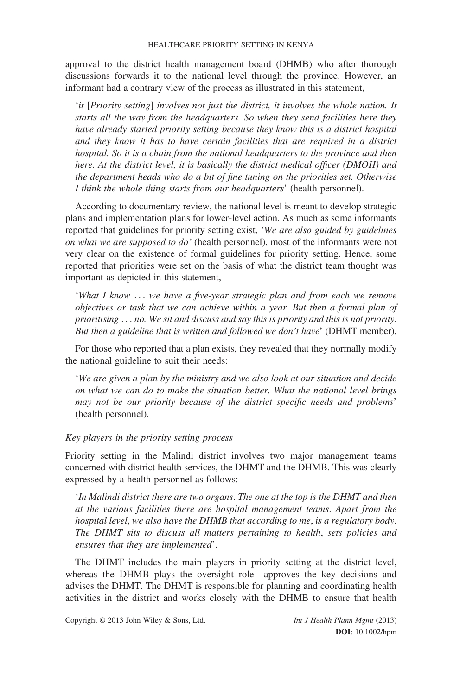approval to the district health management board (DHMB) who after thorough discussions forwards it to the national level through the province. However, an informant had a contrary view of the process as illustrated in this statement,

'it [Priority setting] involves not just the district, it involves the whole nation. It starts all the way from the headquarters. So when they send facilities here they have already started priority setting because they know this is a district hospital and they know it has to have certain facilities that are required in a district hospital. So it is a chain from the national headquarters to the province and then here. At the district level, it is basically the district medical officer (DMOH) and the department heads who do a bit of fine tuning on the priorities set. Otherwise I think the whole thing starts from our headquarters' (health personnel).

According to documentary review, the national level is meant to develop strategic plans and implementation plans for lower-level action. As much as some informants reported that guidelines for priority setting exist, 'We are also guided by guidelines on what we are supposed to do' (health personnel), most of the informants were not very clear on the existence of formal guidelines for priority setting. Hence, some reported that priorities were set on the basis of what the district team thought was important as depicted in this statement,

'What I know ... we have a five-year strategic plan and from each we remove objectives or task that we can achieve within a year. But then a formal plan of prioritising ... no. We sit and discuss and say this is priority and this is not priority. But then a guideline that is written and followed we don't have' (DHMT member).

For those who reported that a plan exists, they revealed that they normally modify the national guideline to suit their needs:

'We are given a plan by the ministry and we also look at our situation and decide on what we can do to make the situation better. What the national level brings may not be our priority because of the district specific needs and problems' (health personnel).

#### Key players in the priority setting process

Priority setting in the Malindi district involves two major management teams concerned with district health services, the DHMT and the DHMB. This was clearly expressed by a health personnel as follows:

'In Malindi district there are two organs. The one at the top is the DHMT and then at the various facilities there are hospital management teams. Apart from the hospital level, we also have the DHMB that according to me, is a regulatory body. The DHMT sits to discuss all matters pertaining to health, sets policies and ensures that they are implemented'.

The DHMT includes the main players in priority setting at the district level, whereas the DHMB plays the oversight role—approves the key decisions and advises the DHMT. The DHMT is responsible for planning and coordinating health activities in the district and works closely with the DHMB to ensure that health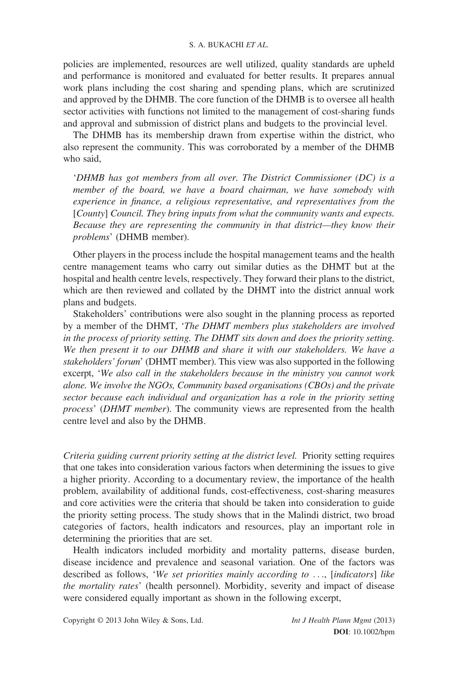policies are implemented, resources are well utilized, quality standards are upheld and performance is monitored and evaluated for better results. It prepares annual work plans including the cost sharing and spending plans, which are scrutinized and approved by the DHMB. The core function of the DHMB is to oversee all health sector activities with functions not limited to the management of cost-sharing funds and approval and submission of district plans and budgets to the provincial level.

The DHMB has its membership drawn from expertise within the district, who also represent the community. This was corroborated by a member of the DHMB who said,

'DHMB has got members from all over. The District Commissioner (DC) is a member of the board, we have a board chairman, we have somebody with experience in finance, a religious representative, and representatives from the [County] Council. They bring inputs from what the community wants and expects. Because they are representing the community in that district—they know their problems' (DHMB member).

Other players in the process include the hospital management teams and the health centre management teams who carry out similar duties as the DHMT but at the hospital and health centre levels, respectively. They forward their plans to the district, which are then reviewed and collated by the DHMT into the district annual work plans and budgets.

Stakeholders' contributions were also sought in the planning process as reported by a member of the DHMT, 'The DHMT members plus stakeholders are involved in the process of priority setting. The DHMT sits down and does the priority setting. We then present it to our DHMB and share it with our stakeholders. We have a stakeholders' forum' (DHMT member). This view was also supported in the following excerpt, 'We also call in the stakeholders because in the ministry you cannot work alone. We involve the NGOs, Community based organisations (CBOs) and the private sector because each individual and organization has a role in the priority setting process' (DHMT member). The community views are represented from the health centre level and also by the DHMB.

Criteria guiding current priority setting at the district level. Priority setting requires that one takes into consideration various factors when determining the issues to give a higher priority. According to a documentary review, the importance of the health problem, availability of additional funds, cost-effectiveness, cost-sharing measures and core activities were the criteria that should be taken into consideration to guide the priority setting process. The study shows that in the Malindi district, two broad categories of factors, health indicators and resources, play an important role in determining the priorities that are set.

Health indicators included morbidity and mortality patterns, disease burden, disease incidence and prevalence and seasonal variation. One of the factors was described as follows, 'We set priorities mainly according to ..., [indicators] like the mortality rates' (health personnel). Morbidity, severity and impact of disease were considered equally important as shown in the following excerpt,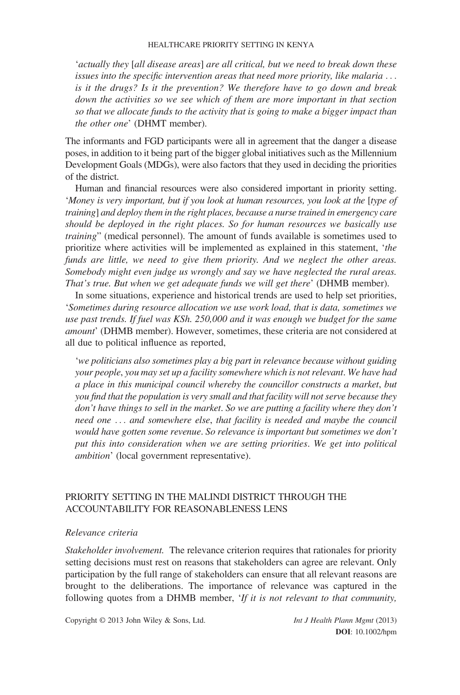'actually they [all disease areas] are all critical, but we need to break down these issues into the specific intervention areas that need more priority, like malaria ... is it the drugs? Is it the prevention? We therefore have to go down and break down the activities so we see which of them are more important in that section so that we allocate funds to the activity that is going to make a bigger impact than the other one' (DHMT member).

The informants and FGD participants were all in agreement that the danger a disease poses, in addition to it being part of the bigger global initiatives such as the Millennium Development Goals (MDGs), were also factors that they used in deciding the priorities of the district.

Human and financial resources were also considered important in priority setting. 'Money is very important, but if you look at human resources, you look at the [type of training] and deploy them in the right places, because a nurse trained in emergency care should be deployed in the right places. So for human resources we basically use training" (medical personnel). The amount of funds available is sometimes used to prioritize where activities will be implemented as explained in this statement, 'the funds are little, we need to give them priority. And we neglect the other areas. Somebody might even judge us wrongly and say we have neglected the rural areas. That's true. But when we get adequate funds we will get there' (DHMB member).

In some situations, experience and historical trends are used to help set priorities, 'Sometimes during resource allocation we use work load, that is data, sometimes we use past trends. If fuel was KSh. 250,000 and it was enough we budget for the same amount' (DHMB member). However, sometimes, these criteria are not considered at all due to political influence as reported,

'we politicians also sometimes play a big part in relevance because without guiding your people, you may set up a facility somewhere which is not relevant. We have had a place in this municipal council whereby the councillor constructs a market, but you find that the population is very small and that facility will not serve because they don't have things to sell in the market. So we are putting a facility where they don't need one ... and somewhere else, that facility is needed and maybe the council would have gotten some revenue. So relevance is important but sometimes we don't put this into consideration when we are setting priorities. We get into political ambition' (local government representative).

# PRIORITY SETTING IN THE MALINDI DISTRICT THROUGH THE ACCOUNTABILITY FOR REASONABLENESS LENS

## Relevance criteria

Stakeholder involvement. The relevance criterion requires that rationales for priority setting decisions must rest on reasons that stakeholders can agree are relevant. Only participation by the full range of stakeholders can ensure that all relevant reasons are brought to the deliberations. The importance of relevance was captured in the following quotes from a DHMB member, 'If it is not relevant to that community,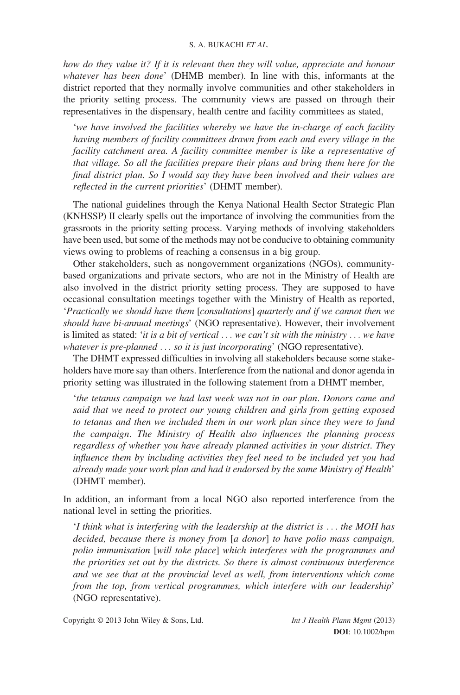how do they value it? If it is relevant then they will value, appreciate and honour whatever has been done' (DHMB member). In line with this, informants at the district reported that they normally involve communities and other stakeholders in the priority setting process. The community views are passed on through their representatives in the dispensary, health centre and facility committees as stated,

'we have involved the facilities whereby we have the in-charge of each facility having members of facility committees drawn from each and every village in the facility catchment area. A facility committee member is like a representative of that village. So all the facilities prepare their plans and bring them here for the final district plan. So I would say they have been involved and their values are reflected in the current priorities' (DHMT member).

The national guidelines through the Kenya National Health Sector Strategic Plan (KNHSSP) II clearly spells out the importance of involving the communities from the grassroots in the priority setting process. Varying methods of involving stakeholders have been used, but some of the methods may not be conducive to obtaining community views owing to problems of reaching a consensus in a big group.

Other stakeholders, such as nongovernment organizations (NGOs), communitybased organizations and private sectors, who are not in the Ministry of Health are also involved in the district priority setting process. They are supposed to have occasional consultation meetings together with the Ministry of Health as reported, 'Practically we should have them [consultations] quarterly and if we cannot then we should have bi-annual meetings' (NGO representative). However, their involvement is limited as stated: 'it is a bit of vertical  $\ldots$  we can't sit with the ministry  $\ldots$  we have whatever is pre-planned ... so it is just incorporating' (NGO representative).

The DHMT expressed difficulties in involving all stakeholders because some stakeholders have more say than others. Interference from the national and donor agenda in priority setting was illustrated in the following statement from a DHMT member,

'the tetanus campaign we had last week was not in our plan. Donors came and said that we need to protect our young children and girls from getting exposed to tetanus and then we included them in our work plan since they were to fund the campaign. The Ministry of Health also influences the planning process regardless of whether you have already planned activities in your district. They influence them by including activities they feel need to be included yet you had already made your work plan and had it endorsed by the same Ministry of Health' (DHMT member).

In addition, an informant from a local NGO also reported interference from the national level in setting the priorities.

'I think what is interfering with the leadership at the district is ... the MOH has decided, because there is money from [a donor] to have polio mass campaign, polio immunisation [will take place] which interferes with the programmes and the priorities set out by the districts. So there is almost continuous interference and we see that at the provincial level as well, from interventions which come from the top, from vertical programmes, which interfere with our leadership' (NGO representative).

Copyright © 2013 John Wiley & Sons, Ltd. Int J Health Plann Mgmt (2013)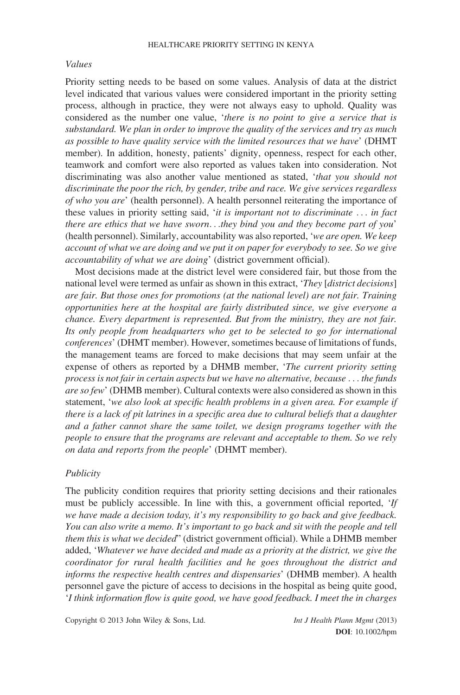#### Values

Priority setting needs to be based on some values. Analysis of data at the district level indicated that various values were considered important in the priority setting process, although in practice, they were not always easy to uphold. Quality was considered as the number one value, 'there is no point to give a service that is substandard. We plan in order to improve the quality of the services and try as much as possible to have quality service with the limited resources that we have' (DHMT member). In addition, honesty, patients' dignity, openness, respect for each other, teamwork and comfort were also reported as values taken into consideration. Not discriminating was also another value mentioned as stated, 'that you should not discriminate the poor the rich, by gender, tribe and race. We give services regardless of who you are' (health personnel). A health personnel reiterating the importance of these values in priority setting said, 'it is important not to discriminate ... in fact there are ethics that we have sworn...they bind you and they become part of you' (health personnel). Similarly, accountability was also reported, 'we are open. We keep account of what we are doing and we put it on paper for everybody to see. So we give accountability of what we are doing' (district government official).

Most decisions made at the district level were considered fair, but those from the national level were termed as unfair as shown in this extract, 'They [district decisions] are fair. But those ones for promotions (at the national level) are not fair. Training opportunities here at the hospital are fairly distributed since, we give everyone a chance. Every department is represented. But from the ministry, they are not fair. Its only people from headquarters who get to be selected to go for international conferences' (DHMT member). However, sometimes because of limitations of funds, the management teams are forced to make decisions that may seem unfair at the expense of others as reported by a DHMB member, 'The current priority setting process is not fair in certain aspects but we have no alternative, because ... the funds are so few' (DHMB member). Cultural contexts were also considered as shown in this statement, 'we also look at specific health problems in a given area. For example if there is a lack of pit latrines in a specific area due to cultural beliefs that a daughter and a father cannot share the same toilet, we design programs together with the people to ensure that the programs are relevant and acceptable to them. So we rely on data and reports from the people' (DHMT member).

## **Publicity**

The publicity condition requires that priority setting decisions and their rationales must be publicly accessible. In line with this, a government official reported, 'If we have made a decision today, it's my responsibility to go back and give feedback. You can also write a memo. It's important to go back and sit with the people and tell them this is what we decided" (district government official). While a DHMB member added, 'Whatever we have decided and made as a priority at the district, we give the coordinator for rural health facilities and he goes throughout the district and informs the respective health centres and dispensaries' (DHMB member). A health personnel gave the picture of access to decisions in the hospital as being quite good, 'I think information flow is quite good, we have good feedback. I meet the in charges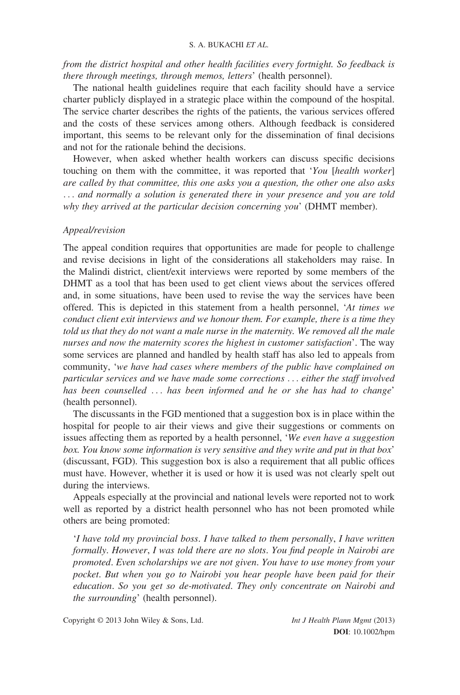from the district hospital and other health facilities every fortnight. So feedback is there through meetings, through memos, letters' (health personnel).

The national health guidelines require that each facility should have a service charter publicly displayed in a strategic place within the compound of the hospital. The service charter describes the rights of the patients, the various services offered and the costs of these services among others. Although feedback is considered important, this seems to be relevant only for the dissemination of final decisions and not for the rationale behind the decisions.

However, when asked whether health workers can discuss specific decisions touching on them with the committee, it was reported that 'You [health worker] are called by that committee, this one asks you a question, the other one also asks ... and normally a solution is generated there in your presence and you are told why they arrived at the particular decision concerning you' (DHMT member).

# Appeal/revision

The appeal condition requires that opportunities are made for people to challenge and revise decisions in light of the considerations all stakeholders may raise. In the Malindi district, client/exit interviews were reported by some members of the DHMT as a tool that has been used to get client views about the services offered and, in some situations, have been used to revise the way the services have been offered. This is depicted in this statement from a health personnel, 'At times we conduct client exit interviews and we honour them. For example, there is a time they told us that they do not want a male nurse in the maternity. We removed all the male nurses and now the maternity scores the highest in customer satisfaction'. The way some services are planned and handled by health staff has also led to appeals from community, 'we have had cases where members of the public have complained on particular services and we have made some corrections ... either the staff involved has been counselled ... has been informed and he or she has had to change' (health personnel).

The discussants in the FGD mentioned that a suggestion box is in place within the hospital for people to air their views and give their suggestions or comments on issues affecting them as reported by a health personnel, 'We even have a suggestion box. You know some information is very sensitive and they write and put in that box' (discussant, FGD). This suggestion box is also a requirement that all public offices must have. However, whether it is used or how it is used was not clearly spelt out during the interviews.

Appeals especially at the provincial and national levels were reported not to work well as reported by a district health personnel who has not been promoted while others are being promoted:

'I have told my provincial boss. I have talked to them personally, I have written formally. However, I was told there are no slots. You find people in Nairobi are promoted. Even scholarships we are not given. You have to use money from your pocket. But when you go to Nairobi you hear people have been paid for their education. So you get so de-motivated. They only concentrate on Nairobi and the surrounding' (health personnel).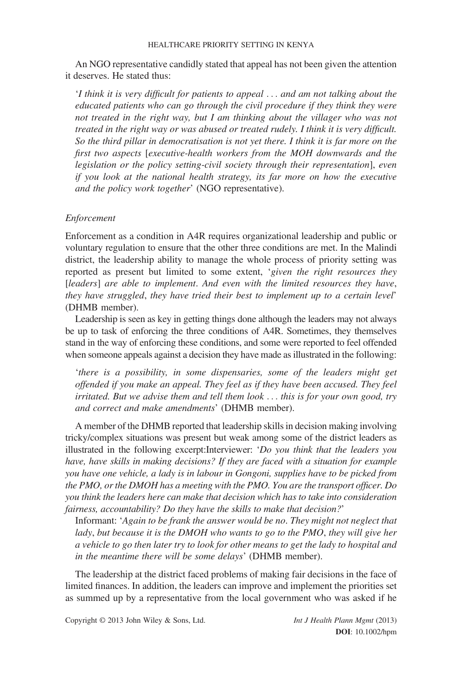An NGO representative candidly stated that appeal has not been given the attention it deserves. He stated thus:

'I think it is very difficult for patients to appeal ... and am not talking about the educated patients who can go through the civil procedure if they think they were not treated in the right way, but I am thinking about the villager who was not treated in the right way or was abused or treated rudely. I think it is very difficult. So the third pillar in democratisation is not yet there. I think it is far more on the first two aspects [executive-health workers from the MOH downwards and the legislation or the policy setting-civil society through their representation], even if you look at the national health strategy, its far more on how the executive and the policy work together' (NGO representative).

# Enforcement

Enforcement as a condition in A4R requires organizational leadership and public or voluntary regulation to ensure that the other three conditions are met. In the Malindi district, the leadership ability to manage the whole process of priority setting was reported as present but limited to some extent, 'given the right resources they [leaders] are able to implement. And even with the limited resources they have, they have struggled, they have tried their best to implement up to a certain level' (DHMB member).

Leadership is seen as key in getting things done although the leaders may not always be up to task of enforcing the three conditions of A4R. Sometimes, they themselves stand in the way of enforcing these conditions, and some were reported to feel offended when someone appeals against a decision they have made as illustrated in the following:

'there is a possibility, in some dispensaries, some of the leaders might get offended if you make an appeal. They feel as if they have been accused. They feel irritated. But we advise them and tell them look ... this is for your own good, try and correct and make amendments' (DHMB member).

A member of the DHMB reported that leadership skills in decision making involving tricky/complex situations was present but weak among some of the district leaders as illustrated in the following excerpt:Interviewer: 'Do you think that the leaders you have, have skills in making decisions? If they are faced with a situation for example you have one vehicle, a lady is in labour in Gongoni, supplies have to be picked from the PMO, or the DMOH has a meeting with the PMO. You are the transport officer. Do you think the leaders here can make that decision which has to take into consideration fairness, accountability? Do they have the skills to make that decision?'

Informant: 'Again to be frank the answer would be no. They might not neglect that lady, but because it is the DMOH who wants to go to the PMO, they will give her a vehicle to go then later try to look for other means to get the lady to hospital and in the meantime there will be some delays' (DHMB member).

The leadership at the district faced problems of making fair decisions in the face of limited finances. In addition, the leaders can improve and implement the priorities set as summed up by a representative from the local government who was asked if he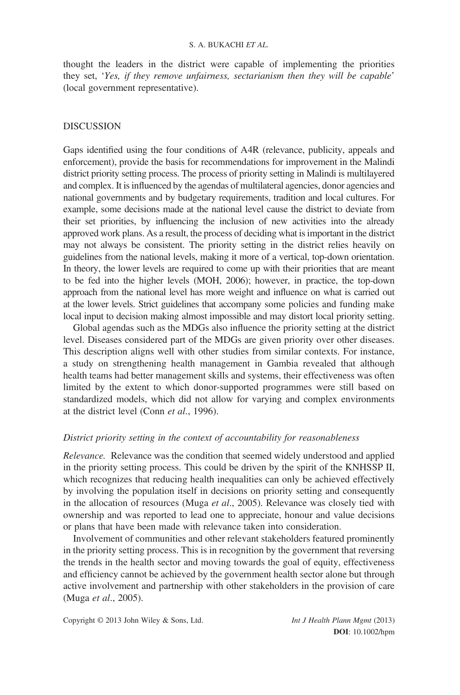thought the leaders in the district were capable of implementing the priorities they set, 'Yes, if they remove unfairness, sectarianism then they will be capable' (local government representative).

## DISCUSSION

Gaps identified using the four conditions of A4R (relevance, publicity, appeals and enforcement), provide the basis for recommendations for improvement in the Malindi district priority setting process. The process of priority setting in Malindi is multilayered and complex. It is influenced by the agendas of multilateral agencies, donor agencies and national governments and by budgetary requirements, tradition and local cultures. For example, some decisions made at the national level cause the district to deviate from their set priorities, by influencing the inclusion of new activities into the already approved work plans. As a result, the process of deciding what is important in the district may not always be consistent. The priority setting in the district relies heavily on guidelines from the national levels, making it more of a vertical, top-down orientation. In theory, the lower levels are required to come up with their priorities that are meant to be fed into the higher levels (MOH, 2006); however, in practice, the top-down approach from the national level has more weight and influence on what is carried out at the lower levels. Strict guidelines that accompany some policies and funding make local input to decision making almost impossible and may distort local priority setting.

Global agendas such as the MDGs also influence the priority setting at the district level. Diseases considered part of the MDGs are given priority over other diseases. This description aligns well with other studies from similar contexts. For instance, a study on strengthening health management in Gambia revealed that although health teams had better management skills and systems, their effectiveness was often limited by the extent to which donor-supported programmes were still based on standardized models, which did not allow for varying and complex environments at the district level (Conn et al., 1996).

## District priority setting in the context of accountability for reasonableness

Relevance. Relevance was the condition that seemed widely understood and applied in the priority setting process. This could be driven by the spirit of the KNHSSP II, which recognizes that reducing health inequalities can only be achieved effectively by involving the population itself in decisions on priority setting and consequently in the allocation of resources (Muga et al., 2005). Relevance was closely tied with ownership and was reported to lead one to appreciate, honour and value decisions or plans that have been made with relevance taken into consideration.

Involvement of communities and other relevant stakeholders featured prominently in the priority setting process. This is in recognition by the government that reversing the trends in the health sector and moving towards the goal of equity, effectiveness and efficiency cannot be achieved by the government health sector alone but through active involvement and partnership with other stakeholders in the provision of care (Muga et al., 2005).

Copyright © 2013 John Wiley & Sons, Ltd. Int J Health Plann Mgmt (2013)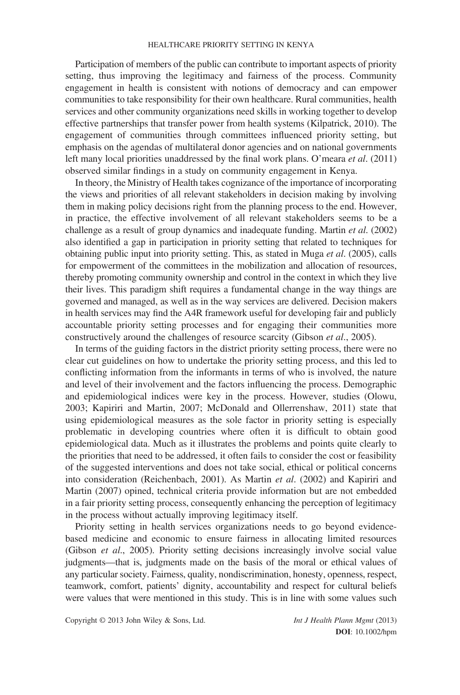Participation of members of the public can contribute to important aspects of priority setting, thus improving the legitimacy and fairness of the process. Community engagement in health is consistent with notions of democracy and can empower communities to take responsibility for their own healthcare. Rural communities, health services and other community organizations need skills in working together to develop effective partnerships that transfer power from health systems (Kilpatrick, 2010). The engagement of communities through committees influenced priority setting, but emphasis on the agendas of multilateral donor agencies and on national governments left many local priorities unaddressed by the final work plans. O'meara et al. (2011) observed similar findings in a study on community engagement in Kenya.

In theory, the Ministry of Health takes cognizance of the importance of incorporating the views and priorities of all relevant stakeholders in decision making by involving them in making policy decisions right from the planning process to the end. However, in practice, the effective involvement of all relevant stakeholders seems to be a challenge as a result of group dynamics and inadequate funding. Martin et al. (2002) also identified a gap in participation in priority setting that related to techniques for obtaining public input into priority setting. This, as stated in Muga et al. (2005), calls for empowerment of the committees in the mobilization and allocation of resources, thereby promoting community ownership and control in the context in which they live their lives. This paradigm shift requires a fundamental change in the way things are governed and managed, as well as in the way services are delivered. Decision makers in health services may find the A4R framework useful for developing fair and publicly accountable priority setting processes and for engaging their communities more constructively around the challenges of resource scarcity (Gibson et al., 2005).

In terms of the guiding factors in the district priority setting process, there were no clear cut guidelines on how to undertake the priority setting process, and this led to conflicting information from the informants in terms of who is involved, the nature and level of their involvement and the factors influencing the process. Demographic and epidemiological indices were key in the process. However, studies (Olowu, 2003; Kapiriri and Martin, 2007; McDonald and Ollerrenshaw, 2011) state that using epidemiological measures as the sole factor in priority setting is especially problematic in developing countries where often it is difficult to obtain good epidemiological data. Much as it illustrates the problems and points quite clearly to the priorities that need to be addressed, it often fails to consider the cost or feasibility of the suggested interventions and does not take social, ethical or political concerns into consideration (Reichenbach, 2001). As Martin et al. (2002) and Kapiriri and Martin (2007) opined, technical criteria provide information but are not embedded in a fair priority setting process, consequently enhancing the perception of legitimacy in the process without actually improving legitimacy itself.

Priority setting in health services organizations needs to go beyond evidencebased medicine and economic to ensure fairness in allocating limited resources (Gibson et al., 2005). Priority setting decisions increasingly involve social value judgments—that is, judgments made on the basis of the moral or ethical values of any particular society. Fairness, quality, nondiscrimination, honesty, openness, respect, teamwork, comfort, patients' dignity, accountability and respect for cultural beliefs were values that were mentioned in this study. This is in line with some values such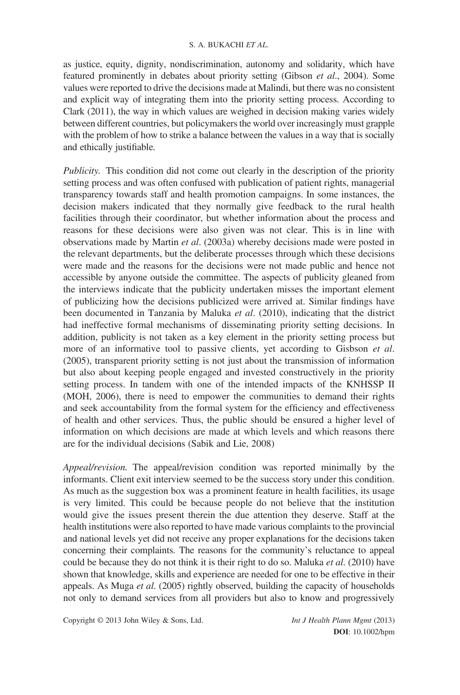as justice, equity, dignity, nondiscrimination, autonomy and solidarity, which have featured prominently in debates about priority setting (Gibson et al., 2004). Some values were reported to drive the decisions made at Malindi, but there was no consistent and explicit way of integrating them into the priority setting process. According to Clark (2011), the way in which values are weighed in decision making varies widely between different countries, but policymakers the world over increasingly must grapple with the problem of how to strike a balance between the values in a way that is socially and ethically justifiable.

Publicity. This condition did not come out clearly in the description of the priority setting process and was often confused with publication of patient rights, managerial transparency towards staff and health promotion campaigns. In some instances, the decision makers indicated that they normally give feedback to the rural health facilities through their coordinator, but whether information about the process and reasons for these decisions were also given was not clear. This is in line with observations made by Martin et al. (2003a) whereby decisions made were posted in the relevant departments, but the deliberate processes through which these decisions were made and the reasons for the decisions were not made public and hence not accessible by anyone outside the committee. The aspects of publicity gleaned from the interviews indicate that the publicity undertaken misses the important element of publicizing how the decisions publicized were arrived at. Similar findings have been documented in Tanzania by Maluka et al. (2010), indicating that the district had ineffective formal mechanisms of disseminating priority setting decisions. In addition, publicity is not taken as a key element in the priority setting process but more of an informative tool to passive clients, yet according to Gisbson et al. (2005), transparent priority setting is not just about the transmission of information but also about keeping people engaged and invested constructively in the priority setting process. In tandem with one of the intended impacts of the KNHSSP II (MOH, 2006), there is need to empower the communities to demand their rights and seek accountability from the formal system for the efficiency and effectiveness of health and other services. Thus, the public should be ensured a higher level of information on which decisions are made at which levels and which reasons there are for the individual decisions (Sabik and Lie, 2008)

Appeal/revision. The appeal/revision condition was reported minimally by the informants. Client exit interview seemed to be the success story under this condition. As much as the suggestion box was a prominent feature in health facilities, its usage is very limited. This could be because people do not believe that the institution would give the issues present therein the due attention they deserve. Staff at the health institutions were also reported to have made various complaints to the provincial and national levels yet did not receive any proper explanations for the decisions taken concerning their complaints. The reasons for the community's reluctance to appeal could be because they do not think it is their right to do so. Maluka et al. (2010) have shown that knowledge, skills and experience are needed for one to be effective in their appeals. As Muga et al. (2005) rightly observed, building the capacity of households not only to demand services from all providers but also to know and progressively

Copyright © 2013 John Wiley & Sons, Ltd. Int J Health Plann Mgmt (2013)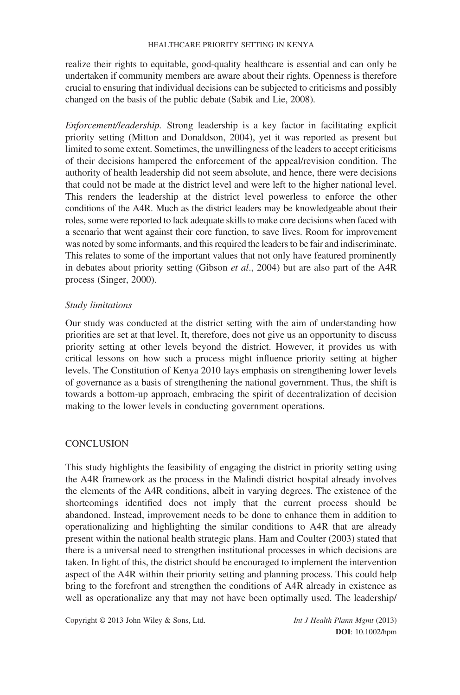#### HEALTHCARE PRIORITY SETTING IN KENYA

realize their rights to equitable, good-quality healthcare is essential and can only be undertaken if community members are aware about their rights. Openness is therefore crucial to ensuring that individual decisions can be subjected to criticisms and possibly changed on the basis of the public debate (Sabik and Lie, 2008).

Enforcement/leadership. Strong leadership is a key factor in facilitating explicit priority setting (Mitton and Donaldson, 2004), yet it was reported as present but limited to some extent. Sometimes, the unwillingness of the leaders to accept criticisms of their decisions hampered the enforcement of the appeal/revision condition. The authority of health leadership did not seem absolute, and hence, there were decisions that could not be made at the district level and were left to the higher national level. This renders the leadership at the district level powerless to enforce the other conditions of the A4R. Much as the district leaders may be knowledgeable about their roles, some were reported to lack adequate skills to make core decisions when faced with a scenario that went against their core function, to save lives. Room for improvement was noted by some informants, and this required the leaders to be fair and indiscriminate. This relates to some of the important values that not only have featured prominently in debates about priority setting (Gibson et al., 2004) but are also part of the A4R process (Singer, 2000).

# Study limitations

Our study was conducted at the district setting with the aim of understanding how priorities are set at that level. It, therefore, does not give us an opportunity to discuss priority setting at other levels beyond the district. However, it provides us with critical lessons on how such a process might influence priority setting at higher levels. The Constitution of Kenya 2010 lays emphasis on strengthening lower levels of governance as a basis of strengthening the national government. Thus, the shift is towards a bottom-up approach, embracing the spirit of decentralization of decision making to the lower levels in conducting government operations.

# **CONCLUSION**

This study highlights the feasibility of engaging the district in priority setting using the A4R framework as the process in the Malindi district hospital already involves the elements of the A4R conditions, albeit in varying degrees. The existence of the shortcomings identified does not imply that the current process should be abandoned. Instead, improvement needs to be done to enhance them in addition to operationalizing and highlighting the similar conditions to A4R that are already present within the national health strategic plans. Ham and Coulter (2003) stated that there is a universal need to strengthen institutional processes in which decisions are taken. In light of this, the district should be encouraged to implement the intervention aspect of the A4R within their priority setting and planning process. This could help bring to the forefront and strengthen the conditions of A4R already in existence as well as operationalize any that may not have been optimally used. The leadership/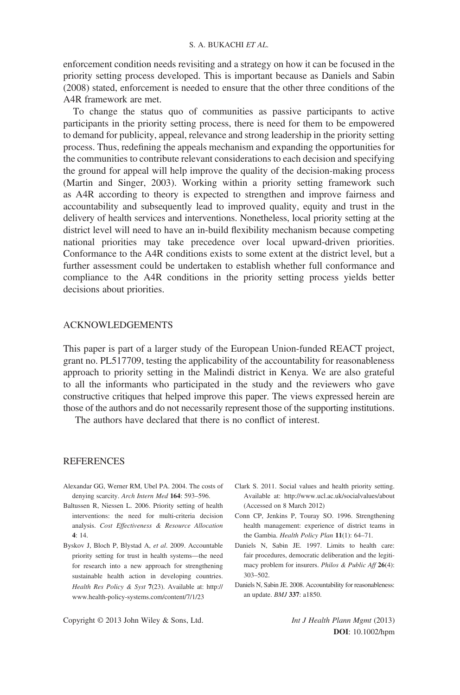enforcement condition needs revisiting and a strategy on how it can be focused in the priority setting process developed. This is important because as Daniels and Sabin (2008) stated, enforcement is needed to ensure that the other three conditions of the A4R framework are met.

To change the status quo of communities as passive participants to active participants in the priority setting process, there is need for them to be empowered to demand for publicity, appeal, relevance and strong leadership in the priority setting process. Thus, redefining the appeals mechanism and expanding the opportunities for the communities to contribute relevant considerations to each decision and specifying the ground for appeal will help improve the quality of the decision-making process (Martin and Singer, 2003). Working within a priority setting framework such as A4R according to theory is expected to strengthen and improve fairness and accountability and subsequently lead to improved quality, equity and trust in the delivery of health services and interventions. Nonetheless, local priority setting at the district level will need to have an in-build flexibility mechanism because competing national priorities may take precedence over local upward-driven priorities. Conformance to the A4R conditions exists to some extent at the district level, but a further assessment could be undertaken to establish whether full conformance and compliance to the A4R conditions in the priority setting process yields better decisions about priorities.

## ACKNOWLEDGEMENTS

This paper is part of a larger study of the European Union-funded REACT project, grant no. PL517709, testing the applicability of the accountability for reasonableness approach to priority setting in the Malindi district in Kenya. We are also grateful to all the informants who participated in the study and the reviewers who gave constructive critiques that helped improve this paper. The views expressed herein are those of the authors and do not necessarily represent those of the supporting institutions.

The authors have declared that there is no conflict of interest.

#### **REFERENCES**

- Alexandar GG, Werner RM, Ubel PA. 2004. The costs of denying scarcity. Arch Intern Med 164: 593–596.
- Baltussen R, Niessen L. 2006. Priority setting of health interventions: the need for multi-criteria decision analysis. Cost Effectiveness & Resource Allocation 4: 14.
- Byskov J, Bloch P, Blystad A, et al. 2009. Accountable priority setting for trust in health systems—the need for research into a new approach for strengthening sustainable health action in developing countries. Health Res Policy & Syst 7(23). Available at: [http://](http://www.health-policy-systems.com/content/7/1/23) [www.health-policy-systems.com/content/7/1/23](http://www.health-policy-systems.com/content/7/1/23)
- Clark S. 2011. Social values and health priority setting. Available at:<http://www.ucl.ac.uk/socialvalues/about> (Accessed on 8 March 2012)
- Conn CP, Jenkins P, Touray SO. 1996. Strengthening health management: experience of district teams in the Gambia. Health Policy Plan 11(1): 64–71.
- Daniels N, Sabin JE. 1997. Limits to health care: fair procedures, democratic deliberation and the legitimacy problem for insurers. *Philos & Public Aff* 26(4): 303–502.
- Daniels N, Sabin JE. 2008. Accountability for reasonableness: an update. BMJ 337: a1850.

DOI: 10.1002/hpm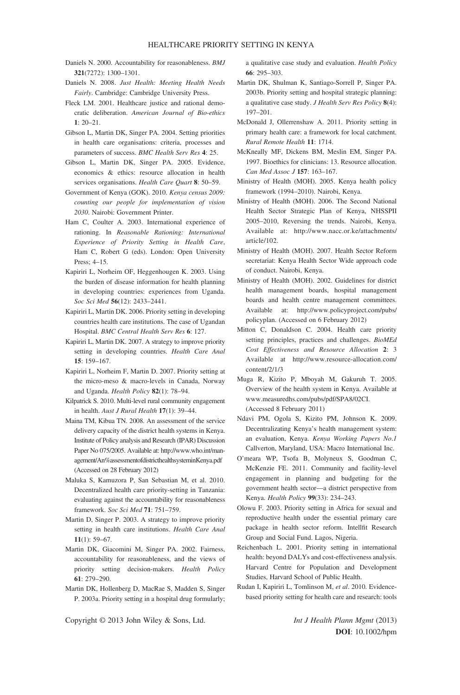- Daniels N. 2000. Accountability for reasonableness. BMJ 321(7272): 1300–1301.
- Daniels N. 2008. Just Health: Meeting Health Needs Fairly. Cambridge: Cambridge University Press.
- Fleck LM. 2001. Healthcare justice and rational democratic deliberation. American Journal of Bio-ethics  $1: 20 - 21$
- Gibson L, Martin DK, Singer PA. 2004. Setting priorities in health care organisations: criteria, processes and parameters of success. BMC Health Serv Res 4: 25.
- Gibson L, Martin DK, Singer PA. 2005. Evidence, economics & ethics: resource allocation in health services organisations. Health Care Quart 8: 50–59.
- Government of Kenya (GOK). 2010. Kenya census 2009: counting our people for implementation of vision 2030. Nairobi: Government Printer.
- Ham C, Coulter A. 2003. International experience of rationing. In Reasonable Rationing: International Experience of Priority Setting in Health Care, Ham C, Robert G (eds). London: Open University Press; 4–15.
- Kapiriri L, Norheim OF, Heggenhougen K. 2003. Using the burden of disease information for health planning in developing countries: experiences from Uganda. Soc Sci Med 56(12): 2433-2441.
- Kapiriri L, Martin DK. 2006. Priority setting in developing countries health care institutions. The case of Ugandan Hospital. BMC Central Health Serv Res 6: 127.
- Kapiriri L, Martin DK. 2007. A strategy to improve priority setting in developing countries. Health Care Anal 15: 159–167.
- Kapiriri L, Norheim F, Martin D. 2007. Priority setting at the micro-meso & macro-levels in Canada, Norway and Uganda. Health Policy 82(1): 78–94.
- Kilpatrick S. 2010. Multi-level rural community engagement in health. Aust J Rural Health 17(1): 39–44.
- Maina TM, Kibua TN. 2008. An assessment of the service delivery capacity of the district health systems in Kenya. Institute of Policy analysis and Research (IPAR) Discussion Paper No 075/2005. Available at: [http://www.who.int/man](http://www.who.int/management/An%assessmentofdistricthealthsysteminKenya.pdf)[agement/An%assessmentofdistricthealthsysteminKenya.pdf](http://www.who.int/management/An%assessmentofdistricthealthsysteminKenya.pdf) (Accessed on 28 February 2012)
- Maluka S, Kamuzora P, San Sebastian M, et al. 2010. Decentralized health care priority-setting in Tanzania: evaluating against the accountability for reasonableness framework. Soc Sci Med 71: 751–759.
- Martin D, Singer P. 2003. A strategy to improve priority setting in health care institutions. Health Care Anal 11(1): 59–67.
- Martin DK, Giacomini M, Singer PA. 2002. Fairness, accountability for reasonableness, and the views of priority setting decision-makers. Health Policy 61: 279–290.
- Martin DK, Hollenberg D, MacRae S, Madden S, Singer P. 2003a. Priority setting in a hospital drug formularly;

a qualitative case study and evaluation. Health Policy 66: 295–303.

- Martin DK, Shulman K, Santiago-Sorrell P, Singer PA. 2003b. Priority setting and hospital strategic planning: a qualitative case study. J Health Serv Res Policy 8(4): 197–201.
- McDonald J, Ollerrenshaw A. 2011. Priority setting in primary health care: a framework for local catchment. Rural Remote Health 11: 1714.
- McKneally MF, Dickens BM, Meslin EM, Singer PA. 1997. Bioethics for clinicians: 13. Resource allocation. Can Med Assoc J 157: 163–167.
- Ministry of Health (MOH). 2005. Kenya health policy framework (1994–2010). Nairobi, Kenya.
- Ministry of Health (MOH). 2006. The Second National Health Sector Strategic Plan of Kenya, NHSSPII 2005–2010, Reversing the trends. Nairobi, Kenya. Available at: http://www.nacc.or.ke/attachments/ article/102.
- Ministry of Health (MOH). 2007. Health Sector Reform secretariat: Kenya Health Sector Wide approach code of conduct. Nairobi, Kenya.
- Ministry of Health (MOH). 2002. Guidelines for district health management boards, hospital management boards and health centre management committees. Available at: http://www.policyproject.com/pubs/ policyplan. (Accessed on 6 February 2012)
- Mitton C, Donaldson C. 2004. Health care priority setting principles, practices and challenges. BioMEd Cost Effectiveness and Resource Allocation 2: 3 Available at http://www.resource-allocation.com/ content/2/1/3
- Muga R, Kizito P, Mboyah M, Gakuruh T. 2005. Overview of the health system in Kenya. Available at [www.measuredhs.com/pubs/pdf/SPA8/02CI](http://www.measuredhs.com/pubs/pdf/SPA8/02CI). (Accessed 8 February 2011)
- Ndavi PM, Ogola S, Kizito PM, Johnson K. 2009. Decentralizating Kenya's health management system: an evaluation, Kenya. Kenya Working Papers No.1 Callverton, Maryland, USA: Macro International Inc.
- O'meara WP, Tsofa B, Molyneux S, Goodman C, McKenzie FE. 2011. Community and facility-level engagement in planning and budgeting for the government health sector—a district perspective from Kenya. Health Policy 99(33): 234–243.
- Olowu F. 2003. Priority setting in Africa for sexual and reproductive health under the essential primary care package in health sector reform. Intellfit Research Group and Social Fund. Lagos, Nigeria.
- Reichenbach L. 2001. Priority setting in international health: beyond DALYs and cost-effectiveness analysis. Harvard Centre for Population and Development Studies, Harvard School of Public Health.
- Rudan I, Kapiriri L, Tomlinson M, et al. 2010. Evidencebased priority setting for health care and research: tools

Copyright © 2013 John Wiley & Sons, Ltd. Int J Health Plann Mgmt (2013)